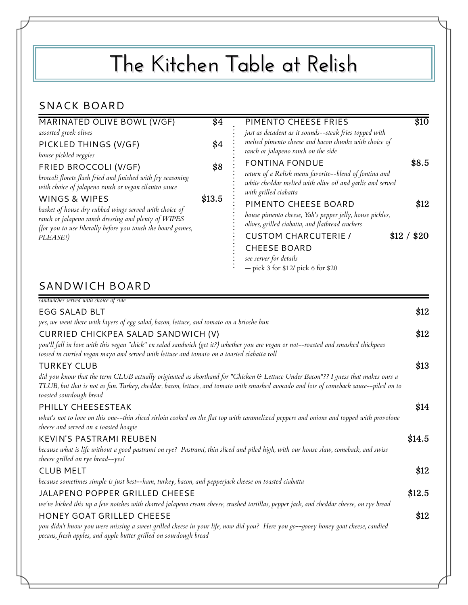## **The Kitchen Table at Relish**

## SNACK BOARD

| MARINATED OLIVE BOWL (V/GF)<br>assorted greek olives                                                                                                                                                                                                                                                                                                         | \$4    | \$10<br>PIMENTO CHEESE FRIES<br>just as decadent as it sounds--steak fries topped with                                                                                         |
|--------------------------------------------------------------------------------------------------------------------------------------------------------------------------------------------------------------------------------------------------------------------------------------------------------------------------------------------------------------|--------|--------------------------------------------------------------------------------------------------------------------------------------------------------------------------------|
| PICKLED THINGS (V/GF)<br>house pickled veggies                                                                                                                                                                                                                                                                                                               | \$4    | melted pimento cheese and bacon chunks with choice of<br>ranch or jalapeno ranch on the side                                                                                   |
| FRIED BROCCOLI (V/GF)<br>broccoli florets flash fried and finished with fry seasoning<br>with choice of jalapeno ranch or vegan cilantro sauce<br>WINGS & WIPES<br>basket of house dry rubbed wings served with choice of<br>ranch or jalapeno ranch dressing and plenty of WIPES<br>(for you to use liberally before you touch the board games,<br>PLEASE!) | \$8    | \$8.5<br><b>FONTINA FONDUE</b><br>return of a Relish menu favorite--blend of fontina and<br>white cheddar melted with olive oil and garlic and served<br>with grilled ciabatta |
|                                                                                                                                                                                                                                                                                                                                                              | \$13.5 | PIMENTO CHEESE BOARD<br>\$12<br>house pimento cheese, Yah's pepper jelly, house pickles,<br>olives, grilled ciabatta, and flatbread crackers                                   |
|                                                                                                                                                                                                                                                                                                                                                              |        | \$12 / \$20<br><b>CUSTOM CHARCUTERIE /</b><br><b>CHEESE BOARD</b><br>see server for details<br>$-$ pick 3 for \$12/ pick 6 for \$20                                            |

| sandwiches served with choice of side                                                                                                                                                                                                                                                                 |        |
|-------------------------------------------------------------------------------------------------------------------------------------------------------------------------------------------------------------------------------------------------------------------------------------------------------|--------|
| <b>EGG SALAD BLT</b>                                                                                                                                                                                                                                                                                  | \$12   |
| yes, we went there with layers of egg salad, bacon, lettuce, and tomato on a brioche bun                                                                                                                                                                                                              |        |
| CURRIED CHICKPEA SALAD SANDWICH (V)                                                                                                                                                                                                                                                                   | \$12   |
| you'll fall in love with this vegan "chick" en salad sandwich (get it?) whether you are vegan or not--roasted and smashed chickpeas<br>tossed in curried vegan mayo and served with lettuce and tomato on a toasted ciabatta roll                                                                     |        |
| <b>TURKEY CLUB</b>                                                                                                                                                                                                                                                                                    | \$13   |
| did you know that the term CLUB actually originated as shorthand for "Chicken & Lettuce Under Bacon"?? I guess that makes ours a<br>TLUB, but that is not as fun. Turkey, cheddar, bacon, lettuce, and tomato with smashed avocado and lots of comeback sauce--piled on to<br>toasted sourdough bread |        |
| PHILLY CHEESESTEAK                                                                                                                                                                                                                                                                                    | \$14   |
| what's not to love on this one--thin sliced sirloin cooked on the flat top with caramelized peppers and onions and topped with provolone<br>cheese and served on a toasted hoagie                                                                                                                     |        |
| <b>KEVIN'S PASTRAMI REUBEN</b>                                                                                                                                                                                                                                                                        | \$14.5 |
| because what is life without a good pastrami on rye? Pastrami, thin sliced and piled high, with our house slaw, comeback, and swiss<br>cheese grilled on rye bread--yes!                                                                                                                              |        |
| <b>CLUB MELT</b>                                                                                                                                                                                                                                                                                      | \$12   |
| because sometimes simple is just best--ham, turkey, bacon, and pepperjack cheese on toasted ciabatta                                                                                                                                                                                                  |        |
| JALAPENO POPPER GRILLED CHEESE                                                                                                                                                                                                                                                                        | \$12.5 |
| we've kicked this up a few notches with charred jalapeno cream cheese, crushed tortillas, pepper jack, and cheddar cheese, on rye bread                                                                                                                                                               |        |
| <b>HONEY GOAT GRILLED CHEESE</b>                                                                                                                                                                                                                                                                      | \$12   |
| you didn't know you were missing a sweet grilled cheese in your life, now did you? Here you go--gooey honey goat cheese, candied<br>pecans, fresh apples, and apple butter grilled on sourdough bread                                                                                                 |        |